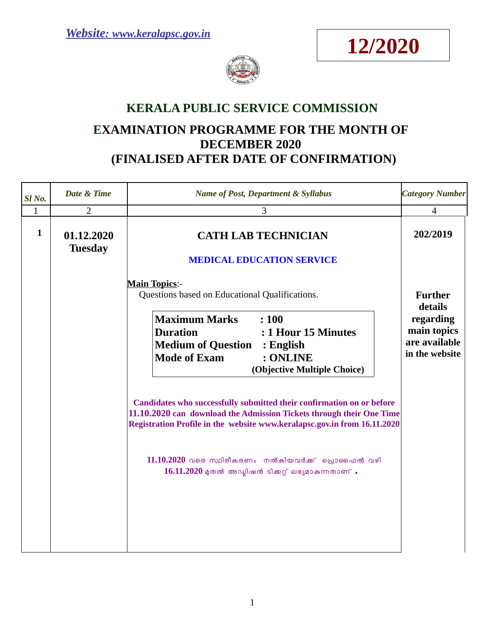



## **KERALA PUBLIC SERVICE COMMISSION**

## **EXAMINATION PROGRAMME FOR THE MONTH OF DECEMBER 2020 (FINALISED AFTER DATE OF CONFIRMATION)**

| Sl No.       | Date & Time                  | <b>Name of Post, Department &amp; Syllabus</b>                                                                                                                                                                            | <b>Category Number</b>                                      |
|--------------|------------------------------|---------------------------------------------------------------------------------------------------------------------------------------------------------------------------------------------------------------------------|-------------------------------------------------------------|
| $\mathbf{1}$ | $\overline{2}$               | 3                                                                                                                                                                                                                         | $\overline{4}$                                              |
| $\mathbf{1}$ | 01.12.2020<br><b>Tuesday</b> | <b>CATH LAB TECHNICIAN</b><br><b>MEDICAL EDUCATION SERVICE</b>                                                                                                                                                            | 202/2019                                                    |
|              |                              | <b>Main Topics:-</b><br>Questions based on Educational Qualifications.                                                                                                                                                    | <b>Further</b><br>details                                   |
|              |                              | <b>Maximum Marks</b><br>: 100<br><b>Duration</b><br>: 1 Hour 15 Minutes<br><b>Medium of Question : English</b><br><b>Mode of Exam</b><br>: ONLINE<br>(Objective Multiple Choice)                                          | regarding<br>main topics<br>are available<br>in the website |
|              |                              | Candidates who successfully submitted their confirmation on or before<br>11.10.2020 can download the Admission Tickets through their One Time<br>Registration Profile in the website www.keralapsc.gov.in from 16.11.2020 |                                                             |
|              |                              | $11.10.2020$ വരെ സ്ഥിരീകരണം നൽകിയവർക്ക് പ്രൊഫൈൽ വഴി<br>$16.11.2020$ മുതൽ അഡ്മിഷൻ ടിക്കറ്റ് ലഭ്യമാകുന്നതാണ് .                                                                                                              |                                                             |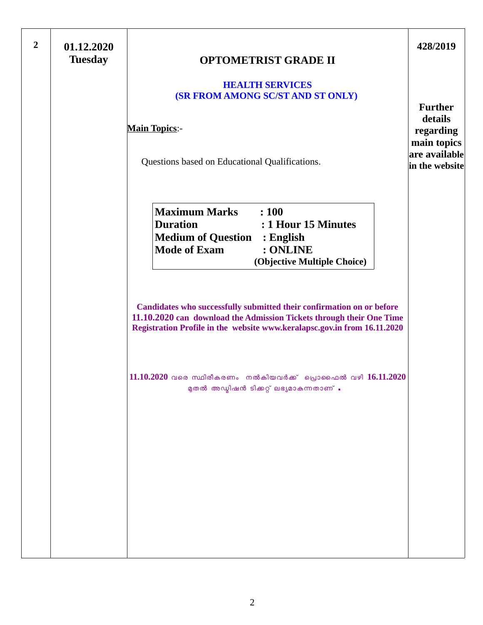| $\overline{2}$ | 01.12.2020<br><b>Tuesday</b> | <b>OPTOMETRIST GRADE II</b>                                                                                                                                                                                                                                                                   | 428/2019                                                                                 |
|----------------|------------------------------|-----------------------------------------------------------------------------------------------------------------------------------------------------------------------------------------------------------------------------------------------------------------------------------------------|------------------------------------------------------------------------------------------|
|                |                              | <b>HEALTH SERVICES</b><br><b>(SR FROM AMONG SC/ST AND ST ONLY)</b><br><b>Main Topics:-</b><br>Questions based on Educational Qualifications.                                                                                                                                                  | <b>Further</b><br>details<br>regarding<br>main topics<br>are available<br>in the website |
|                |                              | <b>Maximum Marks</b><br>: 100<br><b>Duration</b><br>: 1 Hour 15 Minutes<br><b>Medium of Question : English</b><br><b>Mode of Exam</b><br>: ONLINE<br>(Objective Multiple Choice)                                                                                                              |                                                                                          |
|                |                              | Candidates who successfully submitted their confirmation on or before<br>11.10.2020 can download the Admission Tickets through their One Time<br>Registration Profile in the website www.keralapsc.gov.in from 16.11.2020<br>$11.10.2020$ വരെ സ്ഥിരീകരണം നൽകിയവർക്ക് പ്രൊഫൈൽ വഴി $16.11.2020$ |                                                                                          |
|                |                              | മുതൽ അഡ്മിഷൻ ടിക്കറ്റ് ലഭ്യമാകുന്നതാണ് .                                                                                                                                                                                                                                                      |                                                                                          |
|                |                              |                                                                                                                                                                                                                                                                                               |                                                                                          |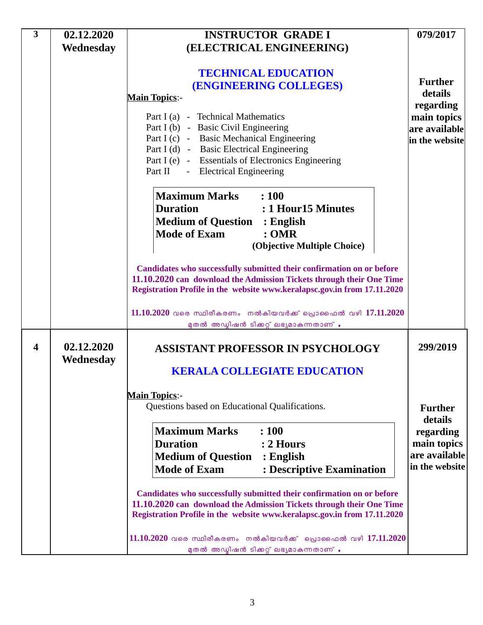| 3                | 02.12.2020              | <b>INSTRUCTOR GRADE I</b>                                                                                                                                                                                                                                                                                                                 | 079/2017                                                    |
|------------------|-------------------------|-------------------------------------------------------------------------------------------------------------------------------------------------------------------------------------------------------------------------------------------------------------------------------------------------------------------------------------------|-------------------------------------------------------------|
|                  | Wednesday               | (ELECTRICAL ENGINEERING)                                                                                                                                                                                                                                                                                                                  |                                                             |
|                  |                         | <b>TECHNICAL EDUCATION</b><br><b>(ENGINEERING COLLEGES)</b><br><b>Main Topics:-</b>                                                                                                                                                                                                                                                       | <b>Further</b><br>details                                   |
|                  |                         | Part I (a) - Technical Mathematics<br>Part I (b) - Basic Civil Engineering<br>Part I (c) - Basic Mechanical Engineering<br>Part I (d) - Basic Electrical Engineering<br>Part I (e) - Essentials of Electronics Engineering<br>Part II - Electrical Engineering                                                                            | regarding<br>main topics<br>are available<br>in the website |
|                  |                         | <b>Maximum Marks</b> : 100<br><b>Duration</b><br>: 1 Hour 15 Minutes<br><b>Medium of Question : English</b><br><b>Mode of Exam</b><br>:OMR<br>(Objective Multiple Choice)                                                                                                                                                                 |                                                             |
|                  |                         | Candidates who successfully submitted their confirmation on or before<br>11.10.2020 can download the Admission Tickets through their One Time<br>Registration Profile in the website www.keralapsc.gov.in from 17.11.2020<br>$11.10.2020$ വരെ സ്ഥിരീകരണം നൽകിയവർക്ക് പ്രൊഫൈൽ വഴി $17.11.2020$<br>മുതൽ അഡ്മിഷൻ ടിക്കറ്റ് ലഭ്യമാകുന്നതാണ് . |                                                             |
| $\boldsymbol{4}$ | 02.12.2020<br>Wednesday | <b>ASSISTANT PROFESSOR IN PSYCHOLOGY</b><br><b>KERALA COLLEGIATE EDUCATION</b>                                                                                                                                                                                                                                                            | 299/2019                                                    |
|                  |                         |                                                                                                                                                                                                                                                                                                                                           |                                                             |
|                  |                         | <b>Main Topics:-</b><br>Questions based on Educational Qualifications.                                                                                                                                                                                                                                                                    | <b>Further</b><br>details                                   |
|                  |                         | <b>Maximum Marks</b><br>: 100<br><b>Duration</b><br>$: 2$ Hours<br><b>Medium of Question : English</b><br><b>Mode of Exam</b><br>: Descriptive Examination                                                                                                                                                                                | regarding<br>main topics<br>are available<br>in the website |
|                  |                         | Candidates who successfully submitted their confirmation on or before<br>11.10.2020 can download the Admission Tickets through their One Time<br>Registration Profile in the website www.keralapsc.gov.in from 17.11.2020                                                                                                                 |                                                             |
|                  |                         | $11.10.2020$ വരെ സ്ഥിരീകരണം നൽകിയവർക്ക് പ്രൊഫൈൽ വഴി $17.11.2020$<br>മുതൽ അഡ്മിഷൻ ടിക്കറ്റ് ലഭ്യമാകുന്നതാണ് .                                                                                                                                                                                                                              |                                                             |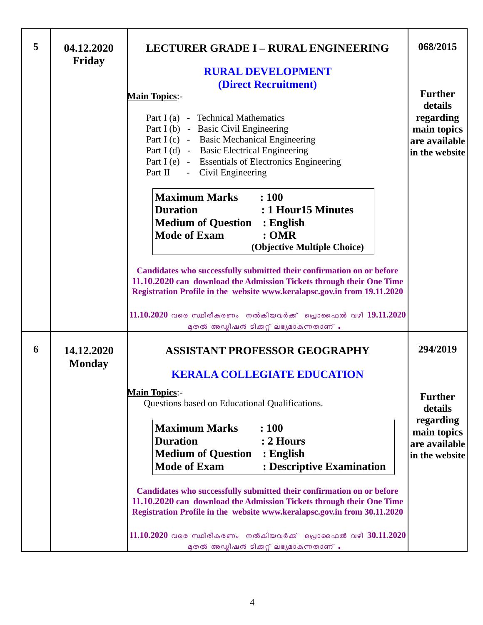| 5 | 04.12.2020<br><b>Friday</b> | <b>LECTURER GRADE I - RURAL ENGINEERING</b>                                                                                                                                                                                                                                                                                                                                                                                                                                                                                                                                                                                                                                                                           | 068/2015                                                                                             |
|---|-----------------------------|-----------------------------------------------------------------------------------------------------------------------------------------------------------------------------------------------------------------------------------------------------------------------------------------------------------------------------------------------------------------------------------------------------------------------------------------------------------------------------------------------------------------------------------------------------------------------------------------------------------------------------------------------------------------------------------------------------------------------|------------------------------------------------------------------------------------------------------|
|   |                             | <b>RURAL DEVELOPMENT</b><br>(Direct Recruitment)<br><b>Main Topics:-</b><br>Part I (a) - Technical Mathematics<br>Part I (b) - Basic Civil Engineering<br>Part I (c) - Basic Mechanical Engineering<br>Part I (d) - Basic Electrical Engineering<br>Part I (e) - Essentials of Electronics Engineering<br>Part II - Civil Engineering                                                                                                                                                                                                                                                                                                                                                                                 | <b>Further</b><br>details<br>regarding<br>main topics<br>are available<br>in the website             |
|   |                             | <b>Maximum Marks</b> : 100<br><b>Duration</b><br>: 1 Hour15 Minutes<br><b>Medium of Question : English</b><br><b>Mode of Exam</b><br>:OMR<br>(Objective Multiple Choice)<br>Candidates who successfully submitted their confirmation on or before<br>11.10.2020 can download the Admission Tickets through their One Time<br>Registration Profile in the website www.keralapsc.gov.in from 19.11.2020<br>11.10.2020 വരെ സ്ഥിരീകരണം നൽകിയവർക്ക് പ്രൊഫൈൽ വഴി 19.11.2020                                                                                                                                                                                                                                                 |                                                                                                      |
| 6 | 14.12.2020<br><b>Monday</b> | മുതൽ അഡ്മിഷൻ ടിക്കറ്റ് ലഭ്യമാകുന്നതാണ് .<br><b>ASSISTANT PROFESSOR GEOGRAPHY</b><br><b>KERALA COLLEGIATE EDUCATION</b><br><b>Main Topics:-</b><br>Questions based on Educational Qualifications.<br><b>Maximum Marks</b><br>: 100<br><b>Duration</b><br>$: 2$ Hours<br><b>Medium of Question</b><br>$\therefore$ English<br><b>Mode of Exam</b><br>: Descriptive Examination<br>Candidates who successfully submitted their confirmation on or before<br>11.10.2020 can download the Admission Tickets through their One Time<br>Registration Profile in the website www.keralapsc.gov.in from 30.11.2020<br>11.10.2020 വരെ സ്ഥിരീകരണം നൽകിയവർക്ക് പ്രൊഫൈൽ വഴി 30.11.2020<br>മുതൽ അഡ്മിഷൻ ടിക്കറ്റ് ലഭ്യമാകുന്നതാണ് . | 294/2019<br><b>Further</b><br>details<br>regarding<br>main topics<br>are available<br>in the website |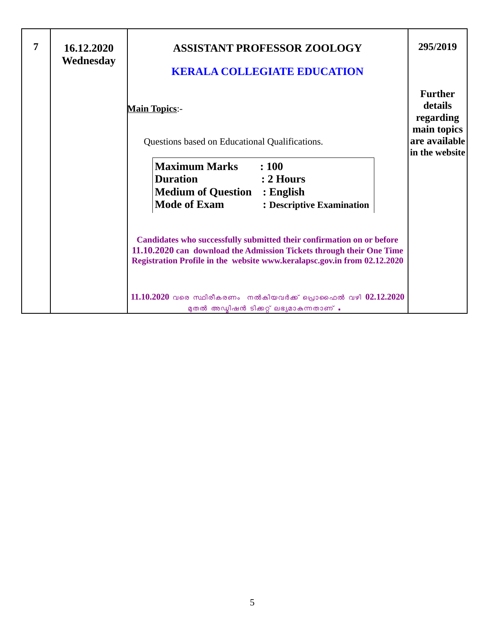| 7 | 16.12.2020<br>Wednesday | <b>ASSISTANT PROFESSOR ZOOLOGY</b><br><b>KERALA COLLEGIATE EDUCATION</b>                                                                                                                                                  | 295/2019                                                                                 |
|---|-------------------------|---------------------------------------------------------------------------------------------------------------------------------------------------------------------------------------------------------------------------|------------------------------------------------------------------------------------------|
|   |                         | <b>Main Topics:-</b><br>Questions based on Educational Qualifications.                                                                                                                                                    | <b>Further</b><br>details<br>regarding<br>main topics<br>are available<br>in the website |
|   |                         | Maximum Marks<br>: 100<br><b>Duration</b><br>$: 2$ Hours<br><b>Medium of Question : English</b><br><b>Mode of Exam</b><br>: Descriptive Examination                                                                       |                                                                                          |
|   |                         | Candidates who successfully submitted their confirmation on or before<br>11.10.2020 can download the Admission Tickets through their One Time<br>Registration Profile in the website www.keralapsc.gov.in from 02.12.2020 |                                                                                          |
|   |                         | $11.10.2020$ വരെ സ്ഥിരീകരണം നൽകിയവർക്ക് പ്രൊഫൈൽ വഴി $02.12.2020$<br>മുതൽ അഡ്മിഷൻ ടിക്കറ്റ് ലഭ്യമാകുന്നതാണ് .                                                                                                              |                                                                                          |